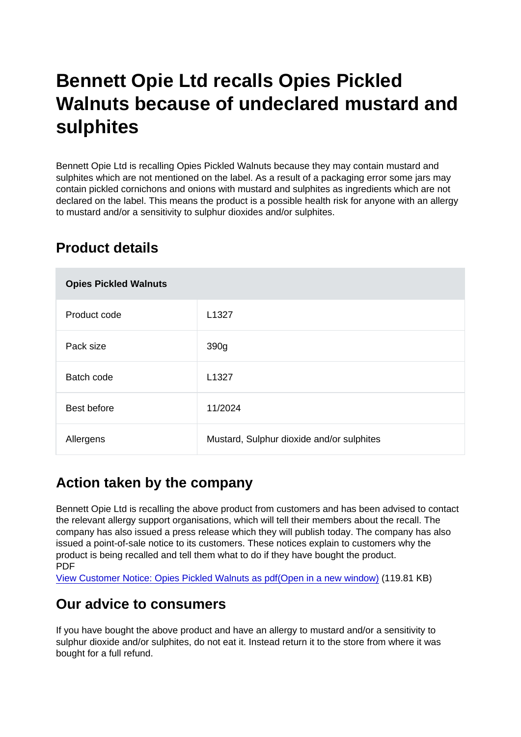# Bennett Opie Ltd recalls Opies Pickled Walnuts because of undeclared mustard and sulphites

Bennett Opie Ltd is recalling Opies Pickled Walnuts because they may contain mustard and sulphites which are not mentioned on the label. As a result of a packaging error some jars may contain pickled cornichons and onions with mustard and sulphites as ingredients which are not declared on the label. This means the product is a possible health risk for anyone with an allergy to mustard and/or a sensitivity to sulphur dioxides and/or sulphites.

## Product details

| <b>Opies Pickled Walnuts</b> |                                           |
|------------------------------|-------------------------------------------|
| Product code                 | L <sub>1327</sub>                         |
| Pack size                    | 390g                                      |
| Batch code                   | L <sub>1327</sub>                         |
| Best before                  | 11/2024                                   |
| Allergens                    | Mustard, Sulphur dioxide and/or sulphites |

## Action taken by the company

Bennett Opie Ltd is recalling the above product from customers and has been advised to contact the relevant allergy support organisations, which will tell their members about the recall. The company has also issued a press release which they will publish today. The company has also issued a point-of-sale notice to its customers. These notices explain to customers why the product is being recalled and tell them what to do if they have bought the product. PDF

[View Customer Notice: Opies Pickled Walnuts as pdf\(Open in a new window\)](https://s3-eu-west-1.amazonaws.com/fsa-alerts-files/production/FSA-AA-79-2021/FSA-AA-79-2021-Opies-recall-Pickled-Walnuts-390g-due-to-undeclared-mustard-and-sulphites.pdf) (119.81 KB)

## Our advice to consumers

If you have bought the above product and have an allergy to mustard and/or a sensitivity to sulphur dioxide and/or sulphites, do not eat it. Instead return it to the store from where it was bought for a full refund.